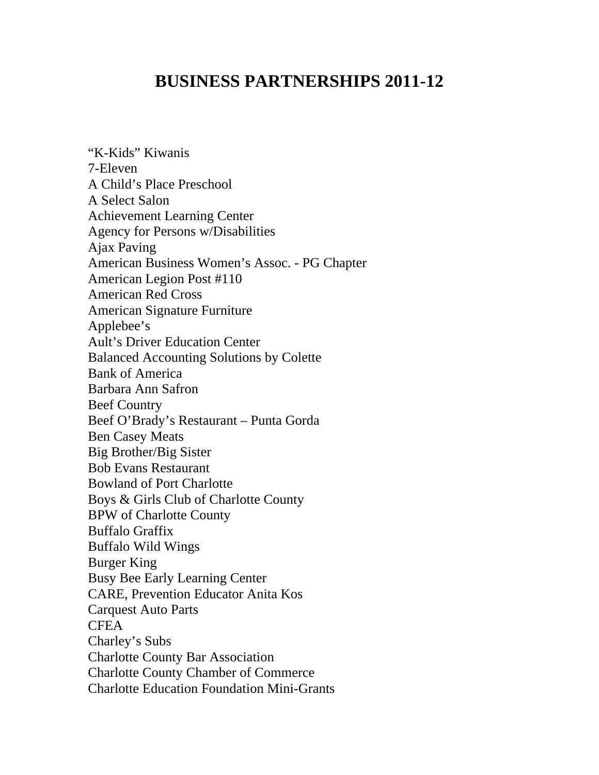## **BUSINESS PARTNERSHIPS 2011-12**

"K-Kids" Kiwanis 7-Eleven A Child's Place Preschool A Select Salon Achievement Learning Center Agency for Persons w/Disabilities Ajax Paving American Business Women's Assoc. - PG Chapter American Legion Post #110 American Red Cross American Signature Furniture Applebee's Ault's Driver Education Center Balanced Accounting Solutions by Colette Bank of America Barbara Ann Safron Beef Country Beef O'Brady's Restaurant – Punta Gorda Ben Casey Meats Big Brother/Big Sister Bob Evans Restaurant Bowland of Port Charlotte Boys & Girls Club of Charlotte County BPW of Charlotte County Buffalo Graffix Buffalo Wild Wings Burger King Busy Bee Early Learning Center CARE, Prevention Educator Anita Kos Carquest Auto Parts **CFEA** Charley's Subs Charlotte County Bar Association Charlotte County Chamber of Commerce Charlotte Education Foundation Mini-Grants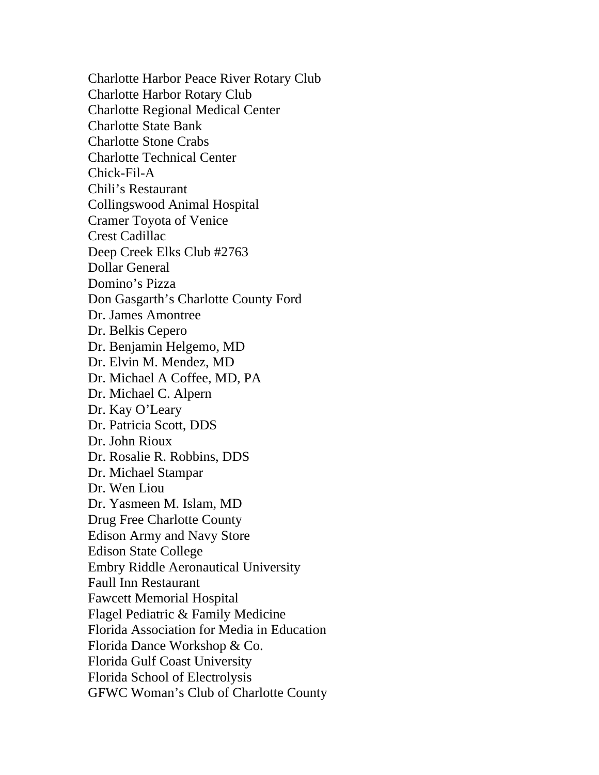Charlotte Harbor Peace River Rotary Club Charlotte Harbor Rotary Club Charlotte Regional Medical Center Charlotte State Bank Charlotte Stone Crabs Charlotte Technical Center Chick-Fil-A Chili's Restaurant Collingswood Animal Hospital Cramer Toyota of Venice Crest Cadillac Deep Creek Elks Club #2763 Dollar General Domino's Pizza Don Gasgarth's Charlotte County Ford Dr. James Amontree Dr. Belkis Cepero Dr. Benjamin Helgemo, MD Dr. Elvin M. Mendez, MD Dr. Michael A Coffee, MD, PA Dr. Michael C. Alpern Dr. Kay O'Leary Dr. Patricia Scott, DDS Dr. John Rioux Dr. Rosalie R. Robbins, DDS Dr. Michael Stampar Dr. Wen Liou Dr. Yasmeen M. Islam, MD Drug Free Charlotte County Edison Army and Navy Store Edison State College Embry Riddle Aeronautical University Faull Inn Restaurant Fawcett Memorial Hospital Flagel Pediatric & Family Medicine Florida Association for Media in Education Florida Dance Workshop & Co. Florida Gulf Coast University Florida School of Electrolysis GFWC Woman's Club of Charlotte County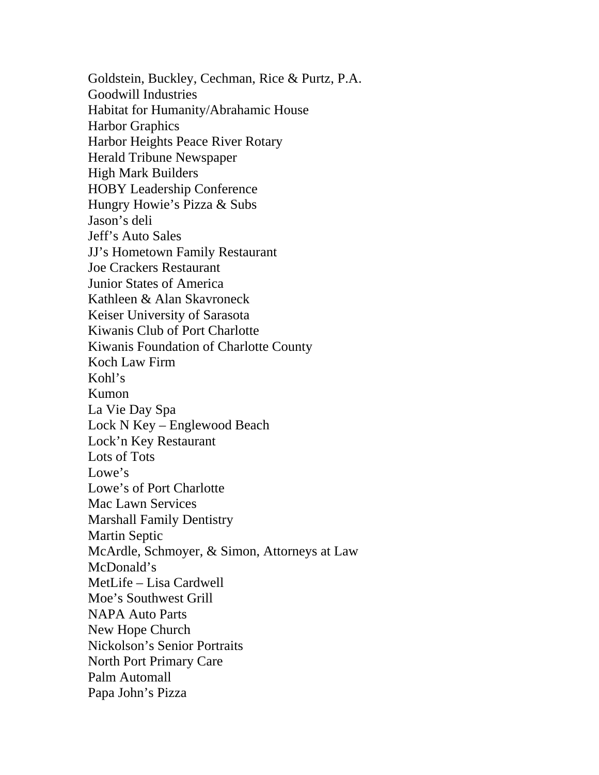Goldstein, Buckley, Cechman, Rice & Purtz, P.A. Goodwill Industries Habitat for Humanity/Abrahamic House Harbor Graphics Harbor Heights Peace River Rotary Herald Tribune Newspaper High Mark Builders HOBY Leadership Conference Hungry Howie's Pizza & Subs Jason's deli Jeff's Auto Sales JJ's Hometown Family Restaurant Joe Crackers Restaurant Junior States of America Kathleen & Alan Skavroneck Keiser University of Sarasota Kiwanis Club of Port Charlotte Kiwanis Foundation of Charlotte County Koch Law Firm Kohl's Kumon La Vie Day Spa Lock N Key – Englewood Beach Lock'n Key Restaurant Lots of Tots Lowe's Lowe's of Port Charlotte Mac Lawn Services Marshall Family Dentistry Martin Septic McArdle, Schmoyer, & Simon, Attorneys at Law McDonald's MetLife – Lisa Cardwell Moe's Southwest Grill NAPA Auto Parts New Hope Church Nickolson's Senior Portraits North Port Primary Care Palm Automall Papa John's Pizza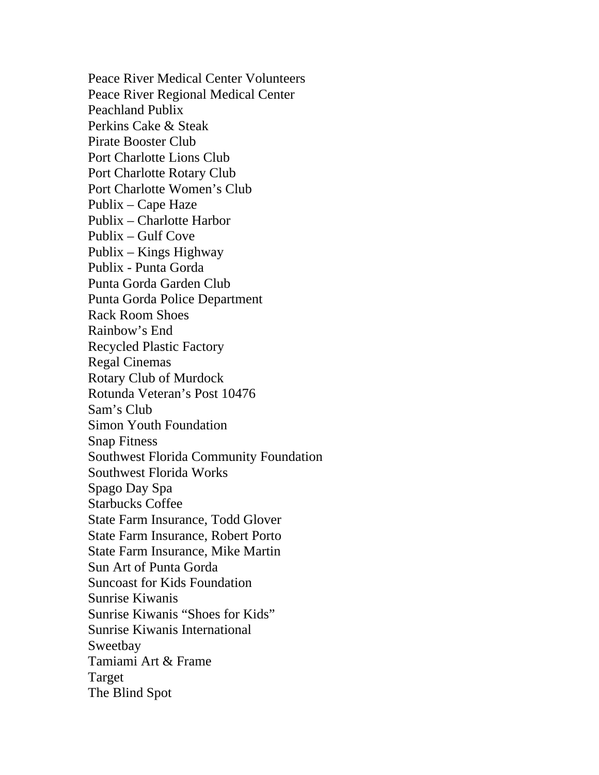Peace River Medical Center Volunteers Peace River Regional Medical Center Peachland Publix Perkins Cake & Steak Pirate Booster Club Port Charlotte Lions Club Port Charlotte Rotary Club Port Charlotte Women's Club Publix – Cape Haze Publix – Charlotte Harbor Publix – Gulf Cove Publix – Kings Highway Publix - Punta Gorda Punta Gorda Garden Club Punta Gorda Police Department Rack Room Shoes Rainbow's End Recycled Plastic Factory Regal Cinemas Rotary Club of Murdock Rotunda Veteran's Post 10476 Sam's Club Simon Youth Foundation Snap Fitness Southwest Florida Community Foundation Southwest Florida Works Spago Day Spa Starbucks Coffee State Farm Insurance, Todd Glover State Farm Insurance, Robert Porto State Farm Insurance, Mike Martin Sun Art of Punta Gorda Suncoast for Kids Foundation Sunrise Kiwanis Sunrise Kiwanis "Shoes for Kids" Sunrise Kiwanis International Sweetbay Tamiami Art & Frame Target The Blind Spot